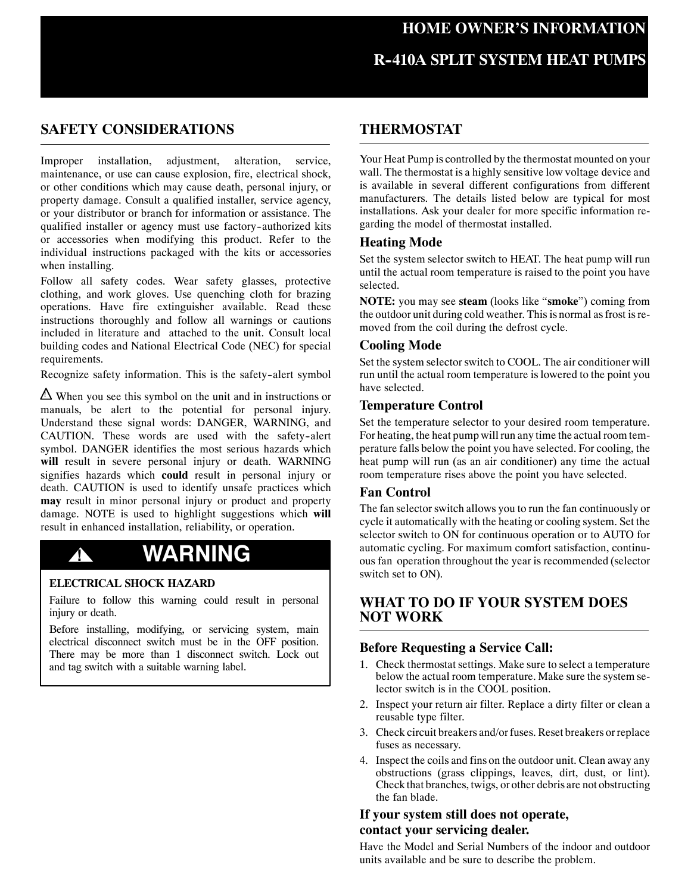## **HOME OWNER'S INFORMATION**

# **R--410A SPLIT SYSTEM HEAT PUMPS**

## **SAFETY CONSIDERATIONS**

Improper installation, adjustment, alteration, service, maintenance, or use can cause explosion, fire, electrical shock, or other conditions which may cause death, personal injury, or property damage. Consult a qualified installer, service agency, or your distributor or branch for information or assistance. The qualified installer or agency must use factory-authorized kits or accessories when modifying this product. Refer to the individual instructions packaged with the kits or accessories when installing.

Follow all safety codes. Wear safety glasses, protective clothing, and work gloves. Use quenching cloth for brazing operations. Have fire extinguisher available. Read these instructions thoroughly and follow all warnings or cautions included in literature and attached to the unit. Consult local building codes and National Electrical Code (NEC) for special requirements.

Recognize safety information. This is the safety-alert symbol

 $\triangle$  When you see this symbol on the unit and in instructions or manuals, be alert to the potential for personal injury. Understand these signal words: DANGER, WARNING, and CAUTION. These words are used with the safety-alert symbol. DANGER identifies the most serious hazards which **will** result in severe personal injury or death. WARNING signifies hazards which **could** result in personal injury or death. CAUTION is used to identify unsafe practices which **may** result in minor personal injury or product and property damage. NOTE is used to highlight suggestions which **will** result in enhanced installation, reliability, or operation.

# **! WARNING**

#### **ELECTRICAL SHOCK HAZARD**

Failure to follow this warning could result in personal injury or death.

Before installing, modifying, or servicing system, main electrical disconnect switch must be in the OFF position. There may be more than 1 disconnect switch. Lock out and tag switch with a suitable warning label.

## **THERMOSTAT**

Your Heat Pump is controlled by the thermostat mounted on your wall. The thermostat is a highly sensitive low voltage device and is available in several different configurations from different manufacturers. The details listed below are typical for most installations. Ask your dealer for more specific information regarding the model of thermostat installed.

#### **Heating Mode**

Set the system selector switch to HEAT. The heat pump will run until the actual room temperature is raised to the point you have selected.

**NOTE:** you may see **steam** (looks like "**smoke**") coming from the outdoor unit during cold weather. This is normal as frost is removed from the coil during the defrost cycle.

#### **Cooling Mode**

Set the system selector switch to COOL. The air conditioner will run until the actual room temperature is lowered to the point you have selected.

#### **Temperature Control**

Set the temperature selector to your desired room temperature. For heating, the heat pump will run any time the actual room temperature falls below the point you have selected. For cooling, the heat pump will run (as an air conditioner) any time the actual room temperature rises above the point you have selected.

#### **Fan Control**

The fan selector switch allows you to run the fan continuously or cycle it automatically with the heating or cooling system. Set the selector switch to ON for continuous operation or to AUTO for automatic cycling. For maximum comfort satisfaction, continuous fan operation throughout the year is recommended (selector switch set to ON).

### **WHAT TO DO IF YOUR SYSTEM DOES NOT WORK**

#### **Before Requesting a Service Call:**

- 1. Check thermostat settings. Make sure to select a temperature below the actual room temperature. Make sure the system selector switch is in the COOL position.
- 2. Inspect your return air filter. Replace a dirty filter or clean a reusable type filter.
- 3. Check circuit breakers and/or fuses. Reset breakers or replace fuses as necessary.
- 4. Inspect the coils and fins on the outdoor unit. Clean away any obstructions (grass clippings, leaves, dirt, dust, or lint). Check that branches, twigs, or other debris are not obstructing the fan blade.

### **If your system still does not operate, contact your servicing dealer.**

Have the Model and Serial Numbers of the indoor and outdoor units available and be sure to describe the problem.